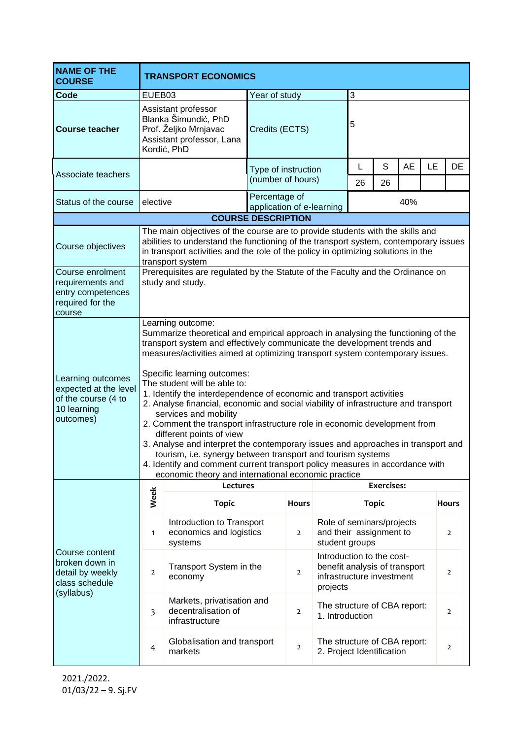| <b>NAME OF THE</b><br><b>COURSE</b>                                                                                                                                                                                                                                                                 | <b>TRANSPORT ECONOMICS</b>                                                                                                                                                                                                                                                                                                                                                                                                                                                                                                                                                                                                                                                                                                                                                                                                                                                                             |                                                                                                                  |                                            |                |                                                                                                     |                              |                   |           |    |                |
|-----------------------------------------------------------------------------------------------------------------------------------------------------------------------------------------------------------------------------------------------------------------------------------------------------|--------------------------------------------------------------------------------------------------------------------------------------------------------------------------------------------------------------------------------------------------------------------------------------------------------------------------------------------------------------------------------------------------------------------------------------------------------------------------------------------------------------------------------------------------------------------------------------------------------------------------------------------------------------------------------------------------------------------------------------------------------------------------------------------------------------------------------------------------------------------------------------------------------|------------------------------------------------------------------------------------------------------------------|--------------------------------------------|----------------|-----------------------------------------------------------------------------------------------------|------------------------------|-------------------|-----------|----|----------------|
| Code                                                                                                                                                                                                                                                                                                | EUEB03                                                                                                                                                                                                                                                                                                                                                                                                                                                                                                                                                                                                                                                                                                                                                                                                                                                                                                 |                                                                                                                  | Year of study                              |                |                                                                                                     | 3                            |                   |           |    |                |
| <b>Course teacher</b>                                                                                                                                                                                                                                                                               |                                                                                                                                                                                                                                                                                                                                                                                                                                                                                                                                                                                                                                                                                                                                                                                                                                                                                                        | Assistant professor<br>Blanka Šimundić, PhD<br>Prof. Željko Mrnjavac<br>Assistant professor, Lana<br>Kordić, PhD | Credits (ECTS)                             |                |                                                                                                     | 5                            |                   |           |    |                |
| Associate teachers                                                                                                                                                                                                                                                                                  |                                                                                                                                                                                                                                                                                                                                                                                                                                                                                                                                                                                                                                                                                                                                                                                                                                                                                                        |                                                                                                                  | Type of instruction                        |                |                                                                                                     | L                            | S                 | <b>AE</b> | LE | DE             |
|                                                                                                                                                                                                                                                                                                     |                                                                                                                                                                                                                                                                                                                                                                                                                                                                                                                                                                                                                                                                                                                                                                                                                                                                                                        |                                                                                                                  | (number of hours)                          |                |                                                                                                     | 26                           | 26                |           |    |                |
| Status of the course                                                                                                                                                                                                                                                                                | elective                                                                                                                                                                                                                                                                                                                                                                                                                                                                                                                                                                                                                                                                                                                                                                                                                                                                                               |                                                                                                                  | Percentage of<br>application of e-learning |                |                                                                                                     | 40%                          |                   |           |    |                |
| <b>COURSE DESCRIPTION</b>                                                                                                                                                                                                                                                                           |                                                                                                                                                                                                                                                                                                                                                                                                                                                                                                                                                                                                                                                                                                                                                                                                                                                                                                        |                                                                                                                  |                                            |                |                                                                                                     |                              |                   |           |    |                |
| The main objectives of the course are to provide students with the skills and<br>abilities to understand the functioning of the transport system, contemporary issues<br>Course objectives<br>in transport activities and the role of the policy in optimizing solutions in the<br>transport system |                                                                                                                                                                                                                                                                                                                                                                                                                                                                                                                                                                                                                                                                                                                                                                                                                                                                                                        |                                                                                                                  |                                            |                |                                                                                                     |                              |                   |           |    |                |
| Course enrolment<br>requirements and<br>entry competences<br>required for the<br>course                                                                                                                                                                                                             | Prerequisites are regulated by the Statute of the Faculty and the Ordinance on<br>study and study.                                                                                                                                                                                                                                                                                                                                                                                                                                                                                                                                                                                                                                                                                                                                                                                                     |                                                                                                                  |                                            |                |                                                                                                     |                              |                   |           |    |                |
| Learning outcomes<br>expected at the level<br>of the course (4 to<br>10 learning<br>outcomes)                                                                                                                                                                                                       | Summarize theoretical and empirical approach in analysing the functioning of the<br>transport system and effectively communicate the development trends and<br>measures/activities aimed at optimizing transport system contemporary issues.<br>Specific learning outcomes:<br>The student will be able to:<br>1. Identify the interdependence of economic and transport activities<br>2. Analyse financial, economic and social viability of infrastructure and transport<br>services and mobility<br>2. Comment the transport infrastructure role in economic development from<br>different points of view<br>3. Analyse and interpret the contemporary issues and approaches in transport and<br>tourism, i.e. synergy between transport and tourism systems<br>4. Identify and comment current transport policy measures in accordance with<br>economic theory and international economic practice |                                                                                                                  |                                            |                |                                                                                                     |                              |                   |           |    |                |
| Course content<br>broken down in<br>detail by weekly<br>class schedule<br>(syllabus)                                                                                                                                                                                                                | Lectures                                                                                                                                                                                                                                                                                                                                                                                                                                                                                                                                                                                                                                                                                                                                                                                                                                                                                               |                                                                                                                  |                                            |                |                                                                                                     |                              | <b>Exercises:</b> |           |    |                |
|                                                                                                                                                                                                                                                                                                     | Week                                                                                                                                                                                                                                                                                                                                                                                                                                                                                                                                                                                                                                                                                                                                                                                                                                                                                                   | <b>Topic</b>                                                                                                     |                                            | <b>Hours</b>   |                                                                                                     |                              | <b>Topic</b>      |           |    | <b>Hours</b>   |
|                                                                                                                                                                                                                                                                                                     | $\mathbf{1}$                                                                                                                                                                                                                                                                                                                                                                                                                                                                                                                                                                                                                                                                                                                                                                                                                                                                                           | Introduction to Transport<br>economics and logistics<br>systems                                                  |                                            | $\overline{2}$ | Role of seminars/projects<br>and their assignment to<br>student groups                              |                              |                   |           |    | $\overline{2}$ |
|                                                                                                                                                                                                                                                                                                     | $\overline{2}$                                                                                                                                                                                                                                                                                                                                                                                                                                                                                                                                                                                                                                                                                                                                                                                                                                                                                         | Transport System in the<br>economy                                                                               |                                            | $\overline{2}$ | Introduction to the cost-<br>benefit analysis of transport<br>infrastructure investment<br>projects |                              |                   |           |    | $\overline{2}$ |
|                                                                                                                                                                                                                                                                                                     | 3                                                                                                                                                                                                                                                                                                                                                                                                                                                                                                                                                                                                                                                                                                                                                                                                                                                                                                      | Markets, privatisation and<br>decentralisation of<br>infrastructure                                              | $\overline{2}$                             |                | 1. Introduction                                                                                     | The structure of CBA report: |                   |           |    | $\overline{2}$ |
|                                                                                                                                                                                                                                                                                                     | $\overline{4}$                                                                                                                                                                                                                                                                                                                                                                                                                                                                                                                                                                                                                                                                                                                                                                                                                                                                                         | Globalisation and transport<br>markets                                                                           |                                            | $\overline{2}$ | The structure of CBA report:<br>2. Project Identification                                           |                              |                   |           |    | $\overline{2}$ |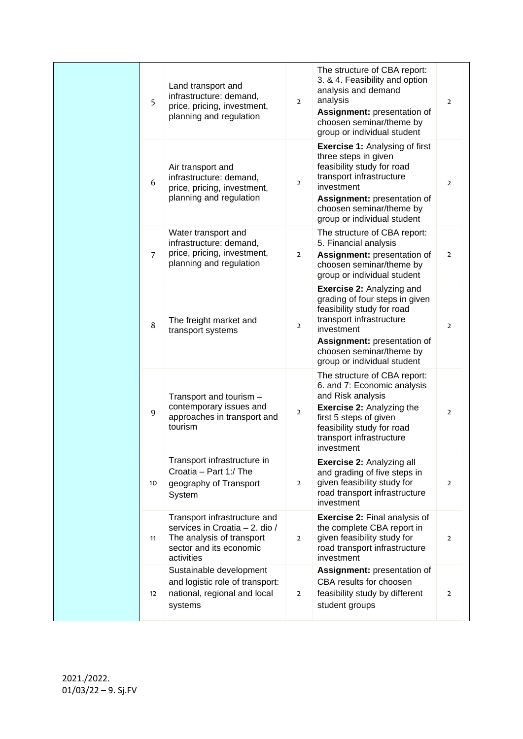|  | 5              | Land transport and<br>infrastructure: demand,<br>price, pricing, investment,<br>planning and regulation                              | $\overline{2}$ | The structure of CBA report:<br>3. & 4. Feasibility and option<br>analysis and demand<br>analysis<br>Assignment: presentation of<br>choosen seminar/theme by<br>group or individual student                                          | $\overline{2}$ |
|--|----------------|--------------------------------------------------------------------------------------------------------------------------------------|----------------|--------------------------------------------------------------------------------------------------------------------------------------------------------------------------------------------------------------------------------------|----------------|
|  | 6              | Air transport and<br>infrastructure: demand,<br>price, pricing, investment,<br>planning and regulation                               | $\overline{2}$ | <b>Exercise 1: Analysing of first</b><br>three steps in given<br>feasibility study for road<br>transport infrastructure<br>investment<br>Assignment: presentation of<br>choosen seminar/theme by<br>group or individual student      | $\overline{2}$ |
|  | $\overline{7}$ | Water transport and<br>infrastructure: demand,<br>price, pricing, investment,<br>planning and regulation                             | $\overline{2}$ | The structure of CBA report:<br>5. Financial analysis<br>Assignment: presentation of<br>choosen seminar/theme by<br>group or individual student                                                                                      | $\overline{2}$ |
|  | 8              | The freight market and<br>transport systems                                                                                          | $\overline{2}$ | <b>Exercise 2: Analyzing and</b><br>grading of four steps in given<br>feasibility study for road<br>transport infrastructure<br>investment<br>Assignment: presentation of<br>choosen seminar/theme by<br>group or individual student | $\overline{2}$ |
|  | 9              | Transport and tourism -<br>contemporary issues and<br>approaches in transport and<br>tourism                                         | $\overline{2}$ | The structure of CBA report:<br>6. and 7: Economic analysis<br>and Risk analysis<br><b>Exercise 2: Analyzing the</b><br>first 5 steps of given<br>feasibility study for road<br>transport infrastructure<br>investment               | $\overline{2}$ |
|  | 10             | Transport infrastructure in<br>Croatia - Part 1:/ The<br>geography of Transport<br>System                                            | $\overline{2}$ | Exercise 2: Analyzing all<br>and grading of five steps in<br>given feasibility study for<br>road transport infrastructure<br>investment                                                                                              | $\overline{2}$ |
|  | 11             | Transport infrastructure and<br>services in Croatia - 2. dio /<br>The analysis of transport<br>sector and its economic<br>activities | $\overline{2}$ | <b>Exercise 2: Final analysis of</b><br>the complete CBA report in<br>given feasibility study for<br>road transport infrastructure<br>investment                                                                                     | $\overline{2}$ |
|  | 12             | Sustainable development<br>and logistic role of transport:<br>national, regional and local<br>systems                                | $\overline{2}$ | Assignment: presentation of<br>CBA results for choosen<br>feasibility study by different<br>student groups                                                                                                                           | $\overline{2}$ |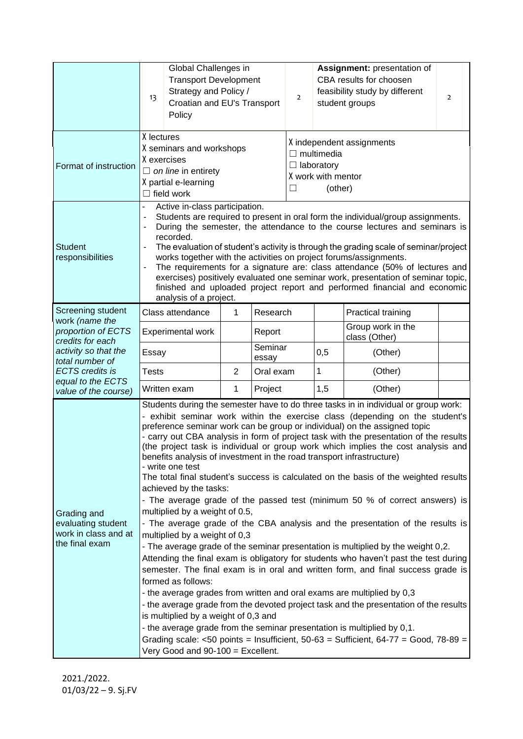|                                                                             | Global Challenges in<br><b>Transport Development</b><br>Strategy and Policy /<br>13<br>Croatian and EU's Transport<br>Policy                                                                                                                                                                                                                                                                                                                                                                                                                                                                                                                                                                                                                                                                                                                                                                                                                                                                                                                                                                                                                                                                                                                                                                                                                                                                                                                                                                                                                                                                          |                        |                  | Assignment: presentation of<br>CBA results for choosen<br>feasibility study by different<br>$\overline{2}$<br>student groups |     |                                    | $\overline{2}$ |  |
|-----------------------------------------------------------------------------|-------------------------------------------------------------------------------------------------------------------------------------------------------------------------------------------------------------------------------------------------------------------------------------------------------------------------------------------------------------------------------------------------------------------------------------------------------------------------------------------------------------------------------------------------------------------------------------------------------------------------------------------------------------------------------------------------------------------------------------------------------------------------------------------------------------------------------------------------------------------------------------------------------------------------------------------------------------------------------------------------------------------------------------------------------------------------------------------------------------------------------------------------------------------------------------------------------------------------------------------------------------------------------------------------------------------------------------------------------------------------------------------------------------------------------------------------------------------------------------------------------------------------------------------------------------------------------------------------------|------------------------|------------------|------------------------------------------------------------------------------------------------------------------------------|-----|------------------------------------|----------------|--|
| Format of instruction                                                       | X lectures<br>X seminars and workshops<br>X exercises<br>$\Box$ on line in entirety<br>X partial e-learning<br>$\Box$ field work                                                                                                                                                                                                                                                                                                                                                                                                                                                                                                                                                                                                                                                                                                                                                                                                                                                                                                                                                                                                                                                                                                                                                                                                                                                                                                                                                                                                                                                                      |                        |                  | X independent assignments<br>$\Box$ multimedia<br>$\Box$ laboratory<br>X work with mentor<br>(other)<br>$\mathsf{L}$         |     |                                    |                |  |
| <b>Student</b><br>responsibilities                                          | Active in-class participation.<br>$\overline{a}$<br>Students are required to present in oral form the individual/group assignments.<br>Ē,<br>During the semester, the attendance to the course lectures and seminars is<br>recorded.<br>The evaluation of student's activity is through the grading scale of seminar/project<br>works together with the activities on project forums/assignments.<br>The requirements for a signature are: class attendance (50% of lectures and<br>Ĭ.<br>exercises) positively evaluated one seminar work, presentation of seminar topic,<br>finished and uploaded project report and performed financial and economic<br>analysis of a project.                                                                                                                                                                                                                                                                                                                                                                                                                                                                                                                                                                                                                                                                                                                                                                                                                                                                                                                     |                        |                  |                                                                                                                              |     |                                    |                |  |
| Screening student                                                           | Class attendance                                                                                                                                                                                                                                                                                                                                                                                                                                                                                                                                                                                                                                                                                                                                                                                                                                                                                                                                                                                                                                                                                                                                                                                                                                                                                                                                                                                                                                                                                                                                                                                      | 1                      | Research         |                                                                                                                              |     | <b>Practical training</b>          |                |  |
| work (name the<br>proportion of ECTS<br>credits for each                    | <b>Experimental work</b>                                                                                                                                                                                                                                                                                                                                                                                                                                                                                                                                                                                                                                                                                                                                                                                                                                                                                                                                                                                                                                                                                                                                                                                                                                                                                                                                                                                                                                                                                                                                                                              |                        | Report           |                                                                                                                              |     | Group work in the<br>class (Other) |                |  |
| activity so that the<br>total number of                                     | Essay                                                                                                                                                                                                                                                                                                                                                                                                                                                                                                                                                                                                                                                                                                                                                                                                                                                                                                                                                                                                                                                                                                                                                                                                                                                                                                                                                                                                                                                                                                                                                                                                 |                        | Seminar<br>essay |                                                                                                                              | 0,5 | (Other)                            |                |  |
| <b>ECTS</b> credits is                                                      | <b>Tests</b>                                                                                                                                                                                                                                                                                                                                                                                                                                                                                                                                                                                                                                                                                                                                                                                                                                                                                                                                                                                                                                                                                                                                                                                                                                                                                                                                                                                                                                                                                                                                                                                          | $\overline{2}$         | Oral exam        | 1                                                                                                                            |     | (Other)                            |                |  |
| equal to the ECTS<br>value of the course)                                   | Written exam                                                                                                                                                                                                                                                                                                                                                                                                                                                                                                                                                                                                                                                                                                                                                                                                                                                                                                                                                                                                                                                                                                                                                                                                                                                                                                                                                                                                                                                                                                                                                                                          | $\mathbf 1$<br>Project |                  |                                                                                                                              | 1,5 | (Other)                            |                |  |
| Grading and<br>evaluating student<br>work in class and at<br>the final exam | Students during the semester have to do three tasks in in individual or group work:<br>- exhibit seminar work within the exercise class (depending on the student's<br>preference seminar work can be group or individual) on the assigned topic<br>- carry out CBA analysis in form of project task with the presentation of the results<br>(the project task is individual or group work which implies the cost analysis and<br>benefits analysis of investment in the road transport infrastructure)<br>- write one test<br>The total final student's success is calculated on the basis of the weighted results<br>achieved by the tasks:<br>- The average grade of the passed test (minimum 50 % of correct answers) is<br>multiplied by a weight of 0.5,<br>- The average grade of the CBA analysis and the presentation of the results is<br>multiplied by a weight of 0,3<br>- The average grade of the seminar presentation is multiplied by the weight 0,2.<br>Attending the final exam is obligatory for students who haven't past the test during<br>semester. The final exam is in oral and written form, and final success grade is<br>formed as follows:<br>- the average grades from written and oral exams are multiplied by 0,3<br>- the average grade from the devoted project task and the presentation of the results<br>is multiplied by a weight of 0,3 and<br>- the average grade from the seminar presentation is multiplied by 0,1.<br>Grading scale: <50 points = Insufficient, $50 - 63$ = Sufficient, $64 - 77$ = Good, $78 - 89$ =<br>Very Good and 90-100 = Excellent. |                        |                  |                                                                                                                              |     |                                    |                |  |